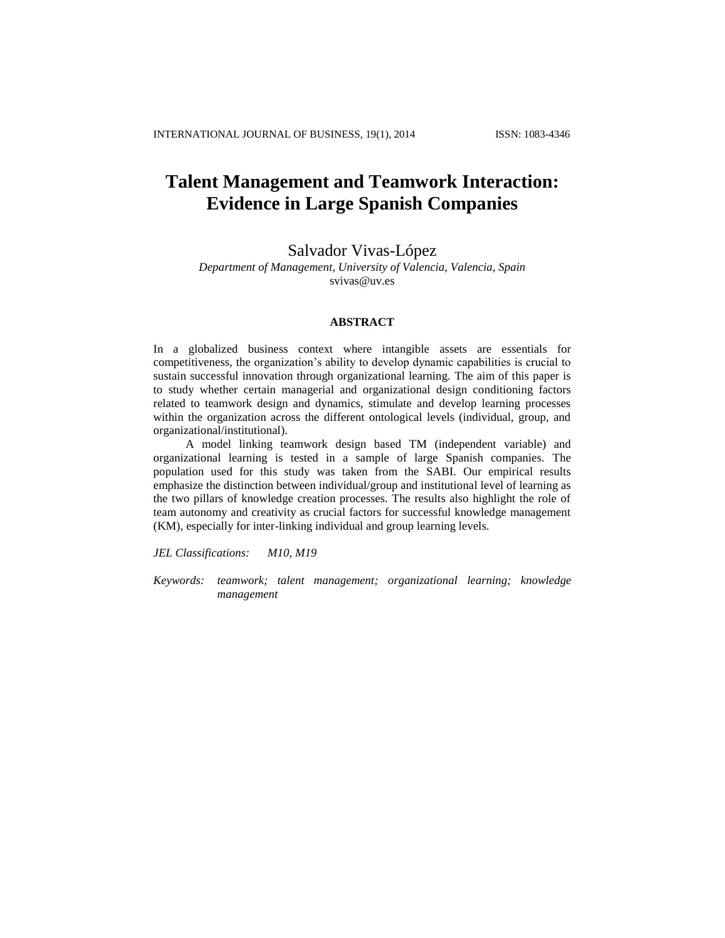# **Talent Management and Teamwork Interaction: Evidence in Large Spanish Companies**

# Salvador Vivas-López

*Department of Management, University of Valencia, Valencia, Spain* svivas@uv.es

# **ABSTRACT**

In a globalized business context where intangible assets are essentials for competitiveness, the organization's ability to develop dynamic capabilities is crucial to sustain successful innovation through organizational learning. The aim of this paper is to study whether certain managerial and organizational design conditioning factors related to teamwork design and dynamics, stimulate and develop learning processes within the organization across the different ontological levels (individual, group, and organizational/institutional).

A model linking teamwork design based TM (independent variable) and organizational learning is tested in a sample of large Spanish companies. The population used for this study was taken from the SABI. Our empirical results emphasize the distinction between individual/group and institutional level of learning as the two pillars of knowledge creation processes. The results also highlight the role of team autonomy and creativity as crucial factors for successful knowledge management (KM), especially for inter-linking individual and group learning levels.

### *JEL Classifications: M10, M19*

*Keywords: teamwork; talent management; organizational learning; knowledge management*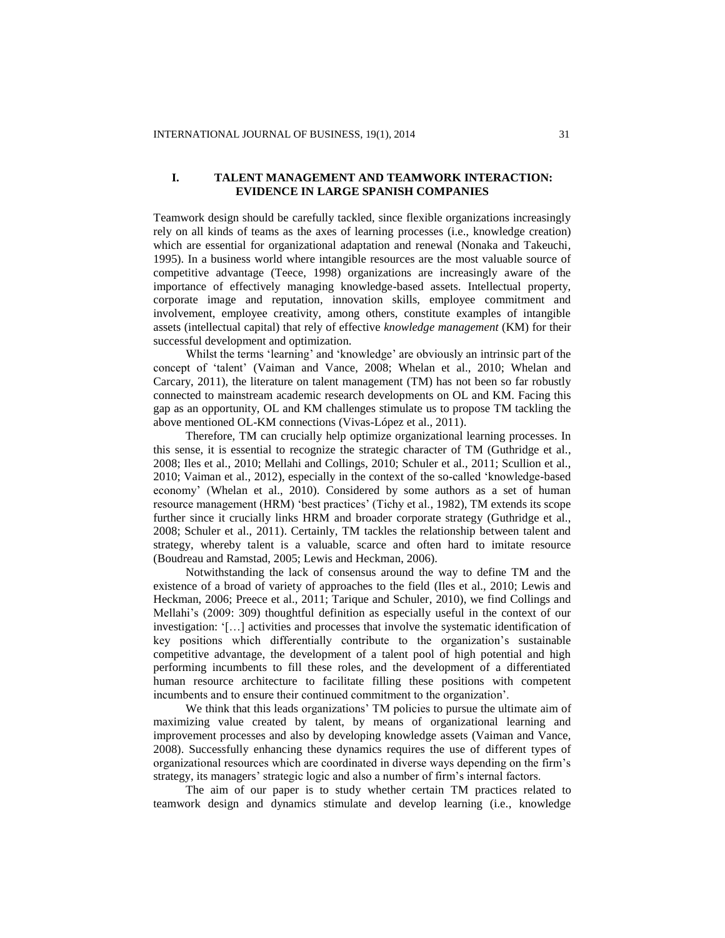# **I. TALENT MANAGEMENT AND TEAMWORK INTERACTION: EVIDENCE IN LARGE SPANISH COMPANIES**

Teamwork design should be carefully tackled, since flexible organizations increasingly rely on all kinds of teams as the axes of learning processes (i.e., knowledge creation) which are essential for organizational adaptation and renewal (Nonaka and Takeuchi, 1995). In a business world where intangible resources are the most valuable source of competitive advantage (Teece, 1998) organizations are increasingly aware of the importance of effectively managing knowledge-based assets. Intellectual property, corporate image and reputation, innovation skills, employee commitment and involvement, employee creativity, among others, constitute examples of intangible assets (intellectual capital) that rely of effective *knowledge management* (KM) for their successful development and optimization.

Whilst the terms 'learning' and 'knowledge' are obviously an intrinsic part of the concept of 'talent' (Vaiman and Vance, 2008; Whelan et al., 2010; Whelan and Carcary, 2011), the literature on talent management (TM) has not been so far robustly connected to mainstream academic research developments on OL and KM. Facing this gap as an opportunity, OL and KM challenges stimulate us to propose TM tackling the above mentioned OL-KM connections (Vivas-López et al., 2011).

Therefore, TM can crucially help optimize organizational learning processes. In this sense, it is essential to recognize the strategic character of TM (Guthridge et al., 2008; Iles et al., 2010; Mellahi and Collings, 2010; Schuler et al., 2011; Scullion et al., 2010; Vaiman et al., 2012), especially in the context of the so-called 'knowledge-based economy' (Whelan et al., 2010). Considered by some authors as a set of human resource management (HRM) 'best practices' (Tichy et al., 1982), TM extends its scope further since it crucially links HRM and broader corporate strategy (Guthridge et al., 2008; Schuler et al., 2011). Certainly, TM tackles the relationship between talent and strategy, whereby talent is a valuable, scarce and often hard to imitate resource (Boudreau and Ramstad, 2005; Lewis and Heckman, 2006).

Notwithstanding the lack of consensus around the way to define TM and the existence of a broad of variety of approaches to the field (Iles et al., 2010; Lewis and Heckman, 2006; Preece et al., 2011; Tarique and Schuler, 2010), we find Collings and Mellahi's (2009: 309) thoughtful definition as especially useful in the context of our investigation: '[…] activities and processes that involve the systematic identification of key positions which differentially contribute to the organization's sustainable competitive advantage, the development of a talent pool of high potential and high performing incumbents to fill these roles, and the development of a differentiated human resource architecture to facilitate filling these positions with competent incumbents and to ensure their continued commitment to the organization'.

We think that this leads organizations' TM policies to pursue the ultimate aim of maximizing value created by talent, by means of organizational learning and improvement processes and also by developing knowledge assets (Vaiman and Vance, 2008). Successfully enhancing these dynamics requires the use of different types of organizational resources which are coordinated in diverse ways depending on the firm's strategy, its managers' strategic logic and also a number of firm's internal factors.

The aim of our paper is to study whether certain TM practices related to teamwork design and dynamics stimulate and develop learning (i.e., knowledge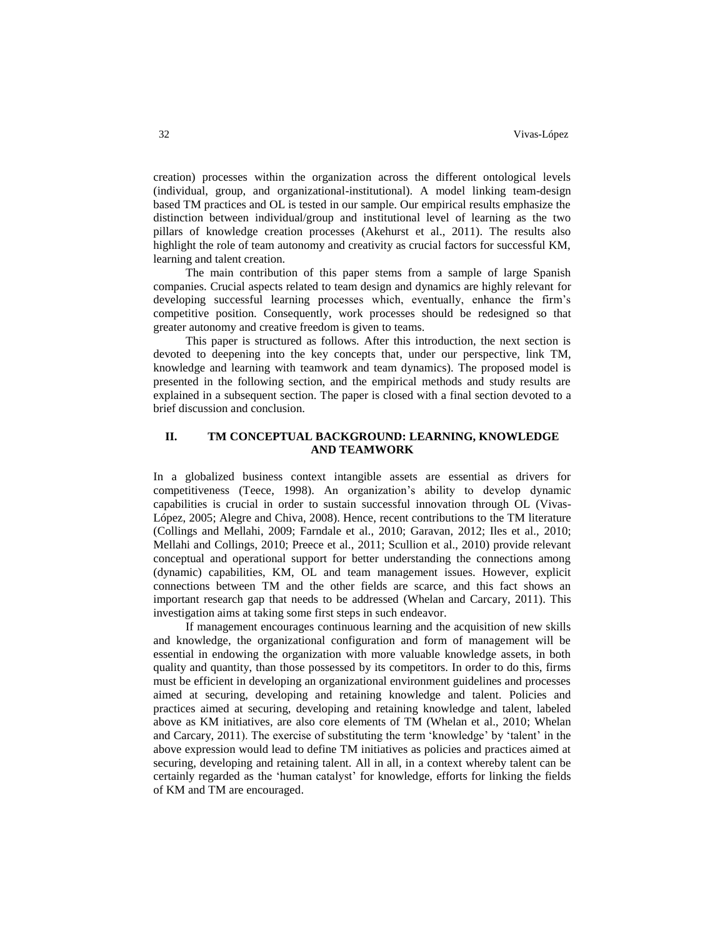creation) processes within the organization across the different ontological levels (individual, group, and organizational-institutional). A model linking team-design based TM practices and OL is tested in our sample. Our empirical results emphasize the distinction between individual/group and institutional level of learning as the two pillars of knowledge creation processes (Akehurst et al., 2011). The results also highlight the role of team autonomy and creativity as crucial factors for successful KM, learning and talent creation.

The main contribution of this paper stems from a sample of large Spanish companies. Crucial aspects related to team design and dynamics are highly relevant for developing successful learning processes which, eventually, enhance the firm's competitive position. Consequently, work processes should be redesigned so that greater autonomy and creative freedom is given to teams.

This paper is structured as follows. After this introduction, the next section is devoted to deepening into the key concepts that, under our perspective, link TM, knowledge and learning with teamwork and team dynamics). The proposed model is presented in the following section, and the empirical methods and study results are explained in a subsequent section. The paper is closed with a final section devoted to a brief discussion and conclusion.

# **II. TM CONCEPTUAL BACKGROUND: LEARNING, KNOWLEDGE AND TEAMWORK**

In a globalized business context intangible assets are essential as drivers for competitiveness (Teece, 1998). An organization's ability to develop dynamic capabilities is crucial in order to sustain successful innovation through OL (Vivas-López, 2005; Alegre and Chiva, 2008). Hence, recent contributions to the TM literature (Collings and Mellahi, 2009; Farndale et al., 2010; Garavan, 2012; Iles et al., 2010; Mellahi and Collings, 2010; Preece et al., 2011; Scullion et al., 2010) provide relevant conceptual and operational support for better understanding the connections among (dynamic) capabilities, KM, OL and team management issues. However, explicit connections between TM and the other fields are scarce, and this fact shows an important research gap that needs to be addressed (Whelan and Carcary, 2011). This investigation aims at taking some first steps in such endeavor.

If management encourages continuous learning and the acquisition of new skills and knowledge, the organizational configuration and form of management will be essential in endowing the organization with more valuable knowledge assets, in both quality and quantity, than those possessed by its competitors. In order to do this, firms must be efficient in developing an organizational environment guidelines and processes aimed at securing, developing and retaining knowledge and talent. Policies and practices aimed at securing, developing and retaining knowledge and talent, labeled above as KM initiatives, are also core elements of TM (Whelan et al., 2010; Whelan and Carcary, 2011). The exercise of substituting the term 'knowledge' by 'talent' in the above expression would lead to define TM initiatives as policies and practices aimed at securing, developing and retaining talent. All in all, in a context whereby talent can be certainly regarded as the 'human catalyst' for knowledge, efforts for linking the fields of KM and TM are encouraged.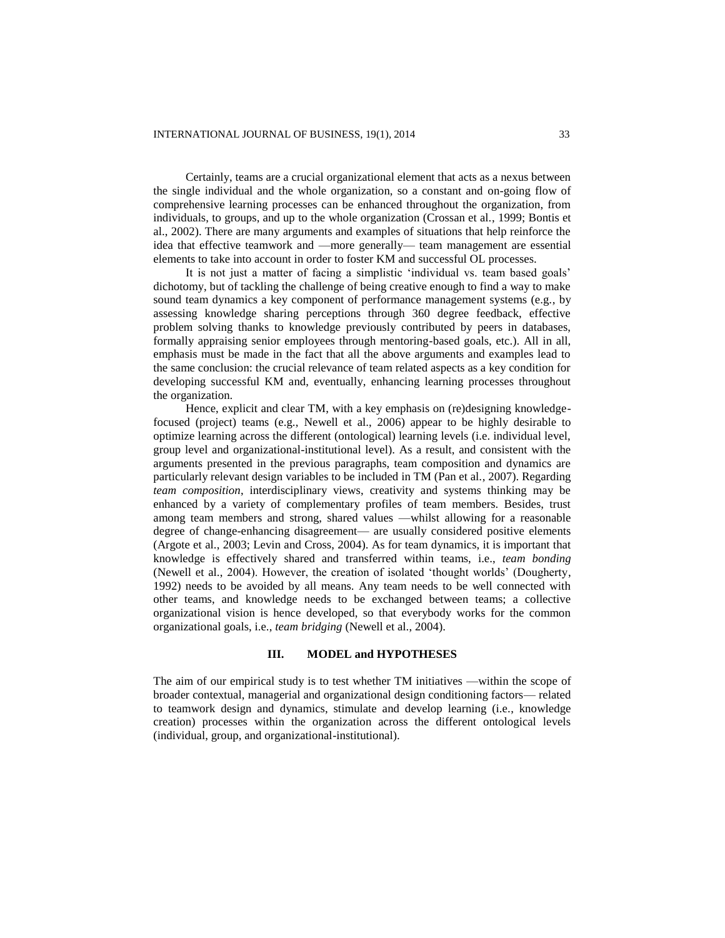Certainly, teams are a crucial organizational element that acts as a nexus between the single individual and the whole organization, so a constant and on-going flow of comprehensive learning processes can be enhanced throughout the organization, from individuals, to groups, and up to the whole organization (Crossan et al., 1999; Bontis et al., 2002). There are many arguments and examples of situations that help reinforce the idea that effective teamwork and —more generally— team management are essential elements to take into account in order to foster KM and successful OL processes.

It is not just a matter of facing a simplistic 'individual vs. team based goals' dichotomy, but of tackling the challenge of being creative enough to find a way to make sound team dynamics a key component of performance management systems (e.g., by assessing knowledge sharing perceptions through 360 degree feedback, effective problem solving thanks to knowledge previously contributed by peers in databases, formally appraising senior employees through mentoring-based goals, etc.). All in all, emphasis must be made in the fact that all the above arguments and examples lead to the same conclusion: the crucial relevance of team related aspects as a key condition for developing successful KM and, eventually, enhancing learning processes throughout the organization.

Hence, explicit and clear TM, with a key emphasis on (re)designing knowledgefocused (project) teams (e.g., Newell et al., 2006) appear to be highly desirable to optimize learning across the different (ontological) learning levels (i.e. individual level, group level and organizational-institutional level). As a result, and consistent with the arguments presented in the previous paragraphs, team composition and dynamics are particularly relevant design variables to be included in TM (Pan et al., 2007). Regarding *team composition*, interdisciplinary views, creativity and systems thinking may be enhanced by a variety of complementary profiles of team members. Besides, trust among team members and strong, shared values —whilst allowing for a reasonable degree of change-enhancing disagreement— are usually considered positive elements (Argote et al., 2003; Levin and Cross, 2004). As for team dynamics, it is important that knowledge is effectively shared and transferred within teams, i.e., *team bonding*  (Newell et al., 2004). However, the creation of isolated 'thought worlds' (Dougherty, 1992) needs to be avoided by all means. Any team needs to be well connected with other teams, and knowledge needs to be exchanged between teams; a collective organizational vision is hence developed, so that everybody works for the common organizational goals, i.e., *team bridging* (Newell et al., 2004).

# **III. MODEL and HYPOTHESES**

The aim of our empirical study is to test whether TM initiatives —within the scope of broader contextual, managerial and organizational design conditioning factors— related to teamwork design and dynamics, stimulate and develop learning (i.e., knowledge creation) processes within the organization across the different ontological levels (individual, group, and organizational-institutional).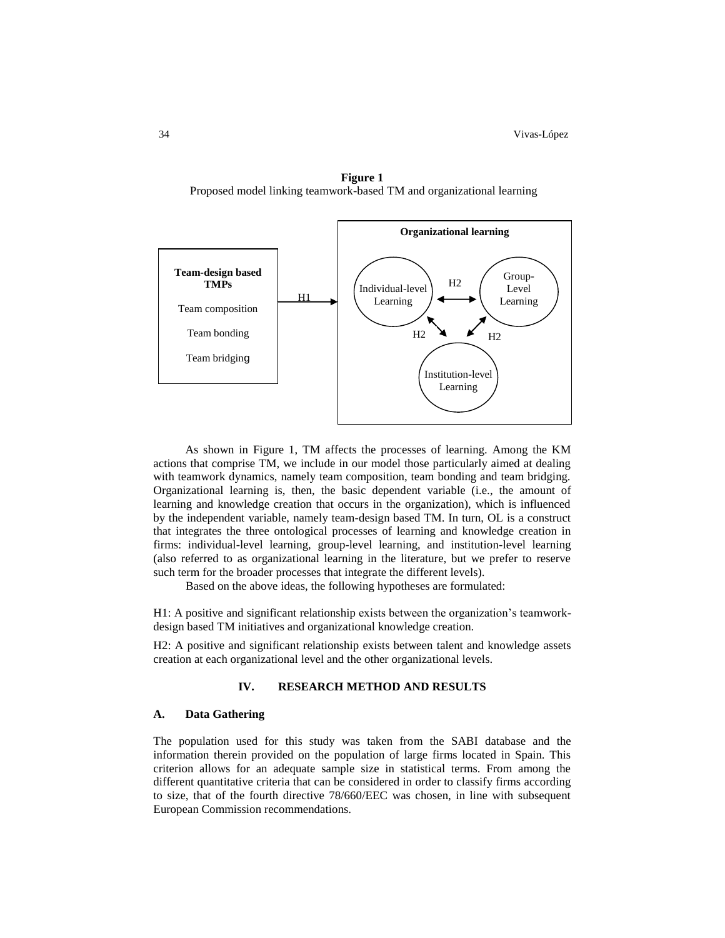

**Figure 1** Proposed model linking teamwork-based TM and organizational learning

As shown in Figure 1, TM affects the processes of learning. Among the KM actions that comprise TM, we include in our model those particularly aimed at dealing with teamwork dynamics, namely team composition, team bonding and team bridging. Organizational learning is, then, the basic dependent variable (i.e., the amount of learning and knowledge creation that occurs in the organization), which is influenced by the independent variable, namely team-design based TM. In turn, OL is a construct that integrates the three ontological processes of learning and knowledge creation in firms: individual-level learning, group-level learning, and institution-level learning (also referred to as organizational learning in the literature, but we prefer to reserve such term for the broader processes that integrate the different levels).

Based on the above ideas, the following hypotheses are formulated:

H1: A positive and significant relationship exists between the organization's teamworkdesign based TM initiatives and organizational knowledge creation.

H2: A positive and significant relationship exists between talent and knowledge assets creation at each organizational level and the other organizational levels.

## **IV. RESEARCH METHOD AND RESULTS**

## **A. Data Gathering**

The population used for this study was taken from the SABI database and the information therein provided on the population of large firms located in Spain. This criterion allows for an adequate sample size in statistical terms. From among the different quantitative criteria that can be considered in order to classify firms according to size, that of the fourth directive 78/660/EEC was chosen, in line with subsequent European Commission recommendations.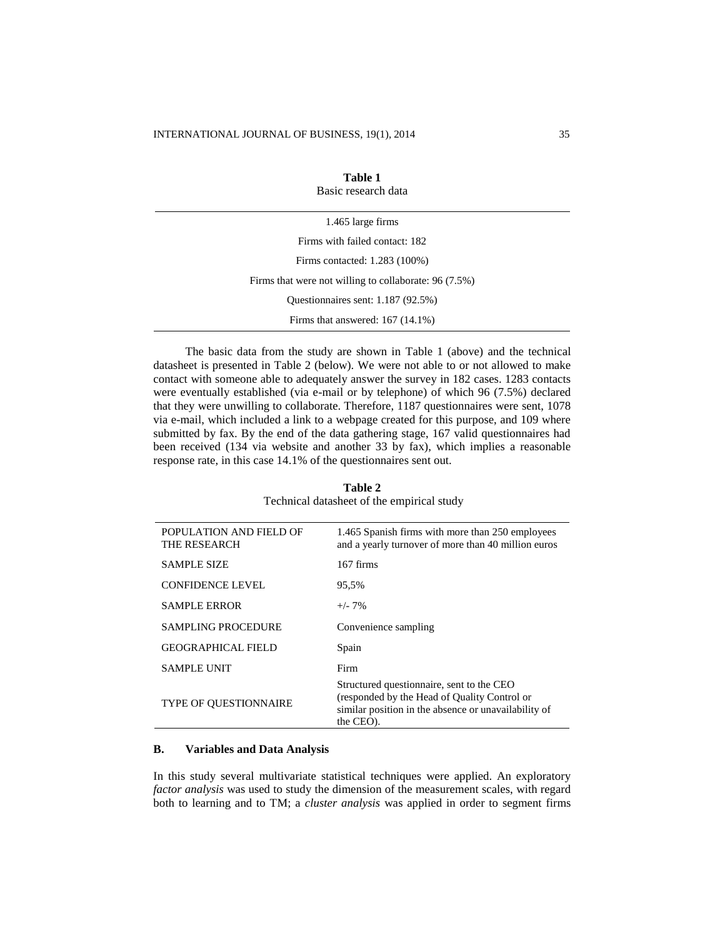| Table 1<br>Basic research data                          |
|---------------------------------------------------------|
| 1.465 large firms                                       |
| Firms with failed contact: 182                          |
| Firms contacted: 1.283 (100%)                           |
| Firms that were not willing to collaborate: $96(7.5\%)$ |
| Questionnaires sent: 1.187 (92.5%)                      |
| Firms that answered: $167(14.1\%)$                      |

The basic data from the study are shown in Table 1 (above) and the technical datasheet is presented in Table 2 (below). We were not able to or not allowed to make contact with someone able to adequately answer the survey in 182 cases. 1283 contacts were eventually established (via e-mail or by telephone) of which 96 (7.5%) declared that they were unwilling to collaborate. Therefore, 1187 questionnaires were sent, 1078 via e-mail, which included a link to a webpage created for this purpose, and 109 where submitted by fax. By the end of the data gathering stage, 167 valid questionnaires had been received (134 via website and another 33 by fax), which implies a reasonable response rate, in this case 14.1% of the questionnaires sent out.

| POPULATION AND FIELD OF<br>THE RESEARCH | 1.465 Spanish firms with more than 250 employees<br>and a yearly turnover of more than 40 million euros                                                        |
|-----------------------------------------|----------------------------------------------------------------------------------------------------------------------------------------------------------------|
| <b>SAMPLE SIZE</b>                      | 167 firms                                                                                                                                                      |
| <b>CONFIDENCE LEVEL</b>                 | 95.5%                                                                                                                                                          |
| <b>SAMPLE ERROR</b>                     | $+/- 7\%$                                                                                                                                                      |
| SAMPLING PROCEDURE                      | Convenience sampling                                                                                                                                           |
| <b>GEOGRAPHICAL FIELD</b>               | Spain                                                                                                                                                          |
| <b>SAMPLE UNIT</b>                      | Firm                                                                                                                                                           |
| TYPE OF QUESTIONNAIRE                   | Structured questionnaire, sent to the CEO<br>(responded by the Head of Quality Control or<br>similar position in the absence or unavailability of<br>the CEO). |

**Table 2** Technical datasheet of the empirical study

# **B. Variables and Data Analysis**

In this study several multivariate statistical techniques were applied. An exploratory *factor analysis* was used to study the dimension of the measurement scales, with regard both to learning and to TM; a *cluster analysis* was applied in order to segment firms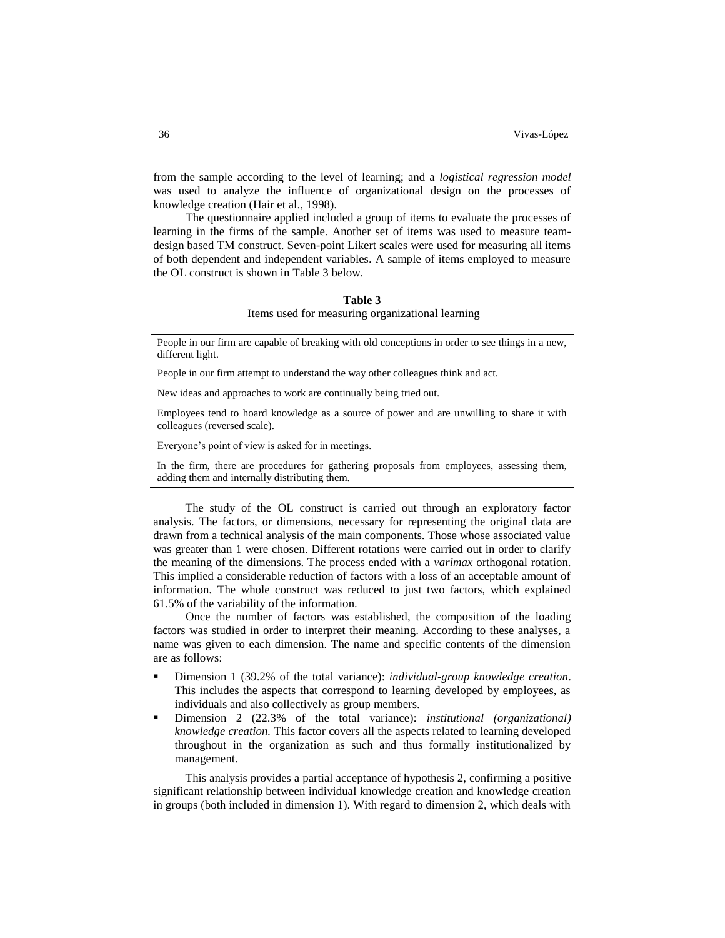from the sample according to the level of learning; and a *logistical regression model*  was used to analyze the influence of organizational design on the processes of knowledge creation (Hair et al., 1998).

The questionnaire applied included a group of items to evaluate the processes of learning in the firms of the sample. Another set of items was used to measure teamdesign based TM construct. Seven-point Likert scales were used for measuring all items of both dependent and independent variables. A sample of items employed to measure the OL construct is shown in Table 3 below.

# **Table 3**

Items used for measuring organizational learning

People in our firm are capable of breaking with old conceptions in order to see things in a new, different light.

People in our firm attempt to understand the way other colleagues think and act.

New ideas and approaches to work are continually being tried out.

Employees tend to hoard knowledge as a source of power and are unwilling to share it with colleagues (reversed scale).

Everyone's point of view is asked for in meetings.

In the firm, there are procedures for gathering proposals from employees, assessing them, adding them and internally distributing them.

The study of the OL construct is carried out through an exploratory factor analysis. The factors, or dimensions, necessary for representing the original data are drawn from a technical analysis of the main components. Those whose associated value was greater than 1 were chosen. Different rotations were carried out in order to clarify the meaning of the dimensions. The process ended with a *varimax* orthogonal rotation. This implied a considerable reduction of factors with a loss of an acceptable amount of information. The whole construct was reduced to just two factors, which explained 61.5% of the variability of the information.

Once the number of factors was established, the composition of the loading factors was studied in order to interpret their meaning. According to these analyses, a name was given to each dimension. The name and specific contents of the dimension are as follows:

- Dimension 1 (39.2% of the total variance): *individual-group knowledge creation*. This includes the aspects that correspond to learning developed by employees, as individuals and also collectively as group members.
- Dimension 2 (22.3% of the total variance): *institutional (organizational) knowledge creation.* This factor covers all the aspects related to learning developed throughout in the organization as such and thus formally institutionalized by management.

This analysis provides a partial acceptance of hypothesis 2, confirming a positive significant relationship between individual knowledge creation and knowledge creation in groups (both included in dimension 1). With regard to dimension 2, which deals with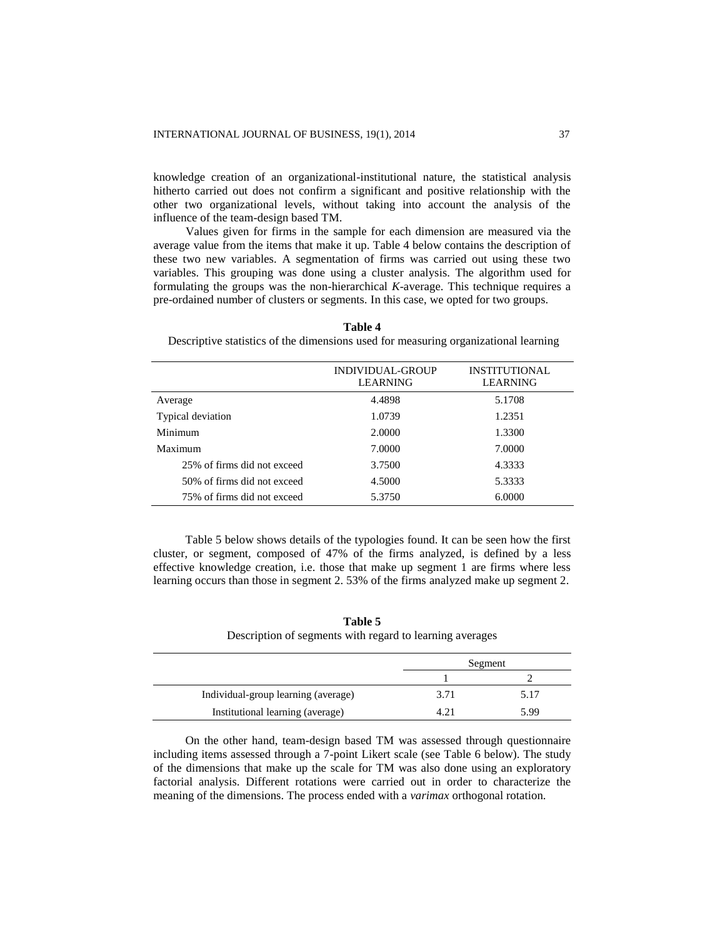knowledge creation of an organizational-institutional nature, the statistical analysis hitherto carried out does not confirm a significant and positive relationship with the other two organizational levels, without taking into account the analysis of the influence of the team-design based TM.

Values given for firms in the sample for each dimension are measured via the average value from the items that make it up. Table 4 below contains the description of these two new variables. A segmentation of firms was carried out using these two variables. This grouping was done using a cluster analysis. The algorithm used for formulating the groups was the non-hierarchical *K*-average. This technique requires a pre-ordained number of clusters or segments*.* In this case, we opted for two groups.

| <b>INDIVIDUAL-GROUP</b><br><b>LEARNING</b> | <b>INSTITUTIONAL</b><br><b>LEARNING</b> |
|--------------------------------------------|-----------------------------------------|
| 4.4898                                     | 5.1708                                  |
| 1.0739                                     | 1.2351                                  |
| 2.0000                                     | 1.3300                                  |
| 7.0000                                     | 7.0000                                  |
| 3.7500                                     | 4.3333                                  |
| 4.5000                                     | 5.3333                                  |
| 5.3750                                     | 6.0000                                  |
|                                            |                                         |

**Table 4** Descriptive statistics of the dimensions used for measuring organizational learning

Table 5 below shows details of the typologies found. It can be seen how the first cluster, or segment, composed of 47% of the firms analyzed, is defined by a less effective knowledge creation, i.e. those that make up segment 1 are firms where less learning occurs than those in segment 2. 53% of the firms analyzed make up segment 2.

**Table 5** Description of segments with regard to learning averages

|                                     |      | Segment |  |  |
|-------------------------------------|------|---------|--|--|
|                                     |      |         |  |  |
| Individual-group learning (average) | 3.71 | 5.17    |  |  |
| Institutional learning (average)    | 4 21 | 5.99    |  |  |

On the other hand, team-design based TM was assessed through questionnaire including items assessed through a 7-point Likert scale (see Table 6 below). The study of the dimensions that make up the scale for TM was also done using an exploratory factorial analysis. Different rotations were carried out in order to characterize the meaning of the dimensions. The process ended with a *varimax* orthogonal rotation.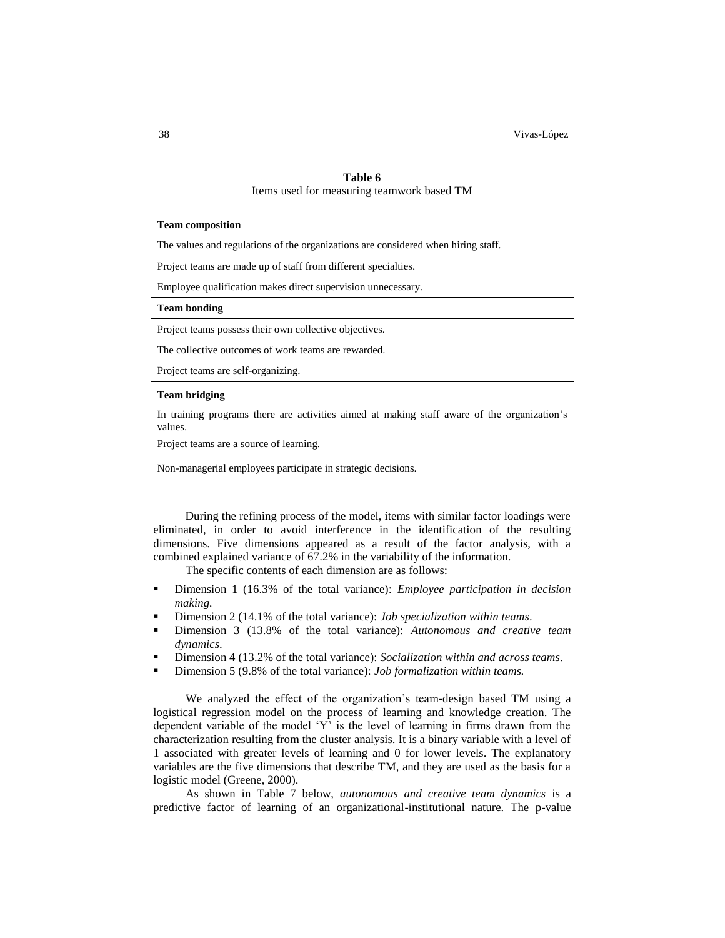# **Table 6** Items used for measuring teamwork based TM

#### **Team composition**

The values and regulations of the organizations are considered when hiring staff.

Project teams are made up of staff from different specialties.

Employee qualification makes direct supervision unnecessary.

#### **Team bonding**

Project teams possess their own collective objectives.

The collective outcomes of work teams are rewarded.

Project teams are self-organizing.

#### **Team bridging**

In training programs there are activities aimed at making staff aware of the organization's values.

Project teams are a source of learning.

Non-managerial employees participate in strategic decisions.

During the refining process of the model, items with similar factor loadings were eliminated, in order to avoid interference in the identification of the resulting dimensions. Five dimensions appeared as a result of the factor analysis, with a combined explained variance of 67.2% in the variability of the information.

The specific contents of each dimension are as follows:

- Dimension 1 (16.3% of the total variance): *Employee participation in decision making.*
- Dimension 2 (14.1% of the total variance): *Job specialization within teams*.
- Dimension 3 (13.8% of the total variance): *Autonomous and creative team dynamics*.
- Dimension 4 (13.2% of the total variance): *Socialization within and across teams*.
- Dimension 5 (9.8% of the total variance): *Job formalization within teams.*

We analyzed the effect of the organization's team-design based TM using a logistical regression model on the process of learning and knowledge creation. The dependent variable of the model 'Y' is the level of learning in firms drawn from the characterization resulting from the cluster analysis. It is a binary variable with a level of 1 associated with greater levels of learning and 0 for lower levels. The explanatory variables are the five dimensions that describe TM, and they are used as the basis for a logistic model (Greene, 2000).

As shown in Table 7 below, *autonomous and creative team dynamics* is a predictive factor of learning of an organizational-institutional nature. The p-value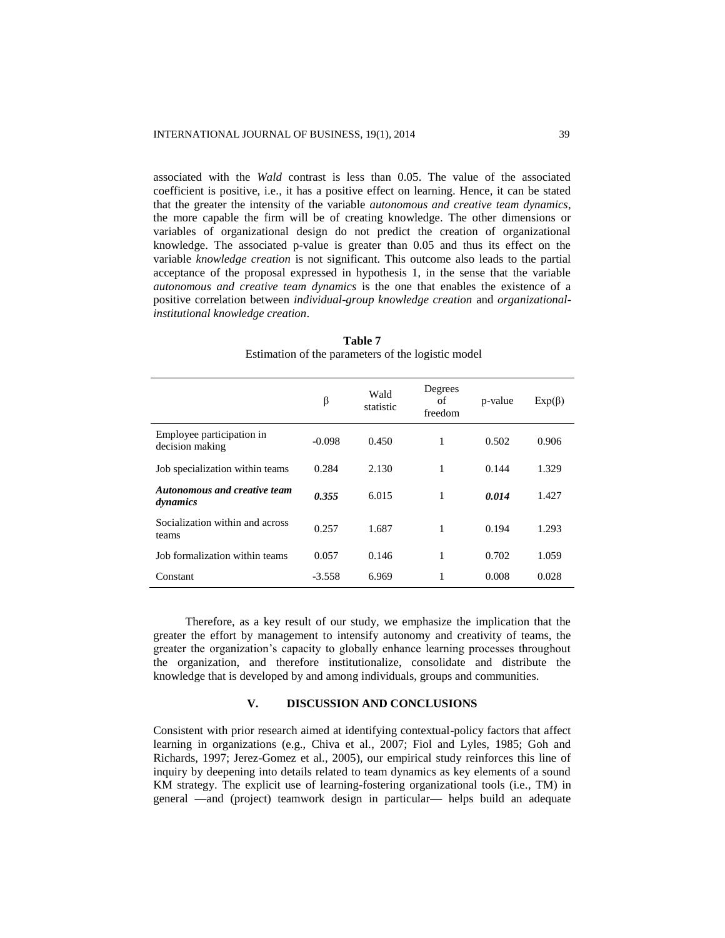associated with the *Wald* contrast is less than 0.05. The value of the associated coefficient is positive, i.e., it has a positive effect on learning. Hence, it can be stated that the greater the intensity of the variable *autonomous and creative team dynamics*, the more capable the firm will be of creating knowledge. The other dimensions or variables of organizational design do not predict the creation of organizational knowledge. The associated p-value is greater than 0.05 and thus its effect on the variable *knowledge creation* is not significant. This outcome also leads to the partial acceptance of the proposal expressed in hypothesis 1, in the sense that the variable *autonomous and creative team dynamics* is the one that enables the existence of a positive correlation between *individual-group knowledge creation* and *organizationalinstitutional knowledge creation*.

|                                                 | β        | Wald<br>statistic | Degrees<br>of<br>freedom | p-value | $Exp(\beta)$ |
|-------------------------------------------------|----------|-------------------|--------------------------|---------|--------------|
| Employee participation in<br>decision making    | $-0.098$ | 0.450             | 1                        | 0.502   | 0.906        |
| Job specialization within teams                 | 0.284    | 2.130             | 1                        | 0.144   | 1.329        |
| <b>Autonomous and creative team</b><br>dynamics | 0.355    | 6.015             | 1                        | 0.014   | 1.427        |
| Socialization within and across<br>teams        | 0.257    | 1.687             | 1                        | 0.194   | 1.293        |
| Job formalization within teams                  | 0.057    | 0.146             | 1                        | 0.702   | 1.059        |
| Constant                                        | $-3.558$ | 6.969             | 1                        | 0.008   | 0.028        |

**Table 7** Estimation of the parameters of the logistic model

Therefore, as a key result of our study, we emphasize the implication that the greater the effort by management to intensify autonomy and creativity of teams, the greater the organization's capacity to globally enhance learning processes throughout the organization, and therefore institutionalize, consolidate and distribute the knowledge that is developed by and among individuals, groups and communities.

# **V. DISCUSSION AND CONCLUSIONS**

Consistent with prior research aimed at identifying contextual-policy factors that affect learning in organizations (e.g., Chiva et al., 2007; Fiol and Lyles, 1985; Goh and Richards, 1997; Jerez-Gomez et al., 2005), our empirical study reinforces this line of inquiry by deepening into details related to team dynamics as key elements of a sound KM strategy. The explicit use of learning-fostering organizational tools (i.e., TM) in general —and (project) teamwork design in particular— helps build an adequate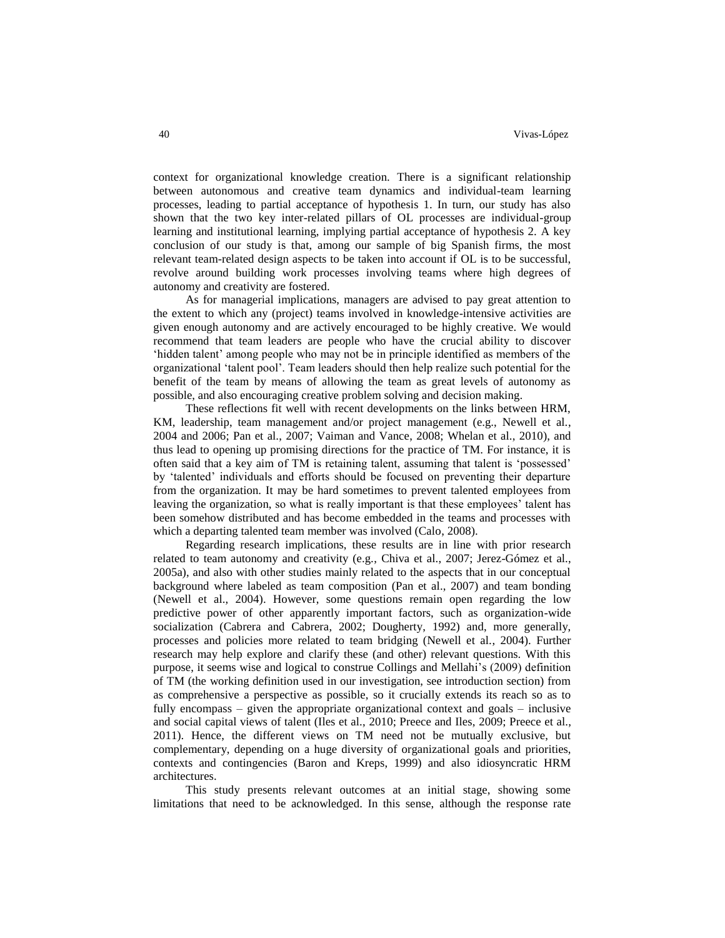context for organizational knowledge creation. There is a significant relationship between autonomous and creative team dynamics and individual-team learning processes, leading to partial acceptance of hypothesis 1. In turn, our study has also shown that the two key inter-related pillars of OL processes are individual-group learning and institutional learning, implying partial acceptance of hypothesis 2. A key conclusion of our study is that, among our sample of big Spanish firms, the most relevant team-related design aspects to be taken into account if OL is to be successful, revolve around building work processes involving teams where high degrees of autonomy and creativity are fostered.

As for managerial implications, managers are advised to pay great attention to the extent to which any (project) teams involved in knowledge-intensive activities are given enough autonomy and are actively encouraged to be highly creative. We would recommend that team leaders are people who have the crucial ability to discover 'hidden talent' among people who may not be in principle identified as members of the organizational 'talent pool'. Team leaders should then help realize such potential for the benefit of the team by means of allowing the team as great levels of autonomy as possible, and also encouraging creative problem solving and decision making.

These reflections fit well with recent developments on the links between HRM, KM, leadership, team management and/or project management (e.g., Newell et al., 2004 and 2006; Pan et al., 2007; Vaiman and Vance, 2008; Whelan et al., 2010), and thus lead to opening up promising directions for the practice of TM. For instance, it is often said that a key aim of TM is retaining talent, assuming that talent is 'possessed' by 'talented' individuals and efforts should be focused on preventing their departure from the organization. It may be hard sometimes to prevent talented employees from leaving the organization, so what is really important is that these employees' talent has been somehow distributed and has become embedded in the teams and processes with which a departing talented team member was involved (Calo, 2008).

Regarding research implications, these results are in line with prior research related to team autonomy and creativity (e.g., Chiva et al., 2007; Jerez-Gómez et al., 2005a), and also with other studies mainly related to the aspects that in our conceptual background where labeled as team composition (Pan et al., 2007) and team bonding (Newell et al., 2004). However, some questions remain open regarding the low predictive power of other apparently important factors, such as organization-wide socialization (Cabrera and Cabrera, 2002; Dougherty, 1992) and, more generally, processes and policies more related to team bridging (Newell et al., 2004). Further research may help explore and clarify these (and other) relevant questions. With this purpose, it seems wise and logical to construe Collings and Mellahi's (2009) definition of TM (the working definition used in our investigation, see introduction section) from as comprehensive a perspective as possible, so it crucially extends its reach so as to fully encompass – given the appropriate organizational context and goals – inclusive and social capital views of talent (Iles et al., 2010; Preece and Iles, 2009; Preece et al., 2011). Hence, the different views on TM need not be mutually exclusive, but complementary, depending on a huge diversity of organizational goals and priorities, contexts and contingencies (Baron and Kreps, 1999) and also idiosyncratic HRM architectures.

This study presents relevant outcomes at an initial stage, showing some limitations that need to be acknowledged. In this sense, although the response rate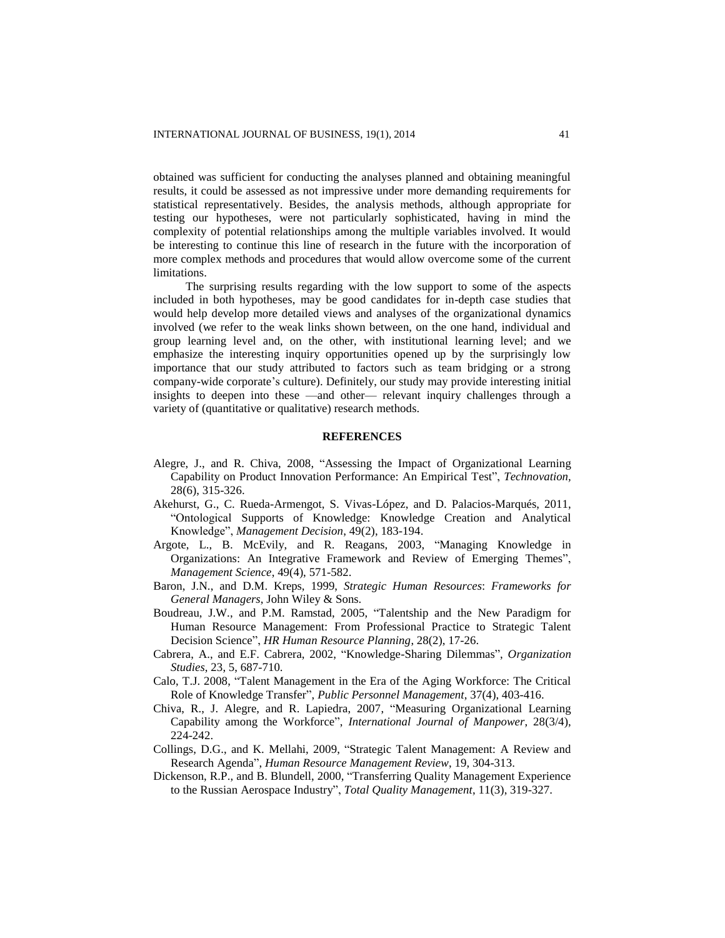obtained was sufficient for conducting the analyses planned and obtaining meaningful results, it could be assessed as not impressive under more demanding requirements for statistical representatively. Besides, the analysis methods, although appropriate for testing our hypotheses, were not particularly sophisticated, having in mind the complexity of potential relationships among the multiple variables involved. It would be interesting to continue this line of research in the future with the incorporation of more complex methods and procedures that would allow overcome some of the current limitations.

The surprising results regarding with the low support to some of the aspects included in both hypotheses, may be good candidates for in-depth case studies that would help develop more detailed views and analyses of the organizational dynamics involved (we refer to the weak links shown between, on the one hand, individual and group learning level and, on the other, with institutional learning level; and we emphasize the interesting inquiry opportunities opened up by the surprisingly low importance that our study attributed to factors such as team bridging or a strong company-wide corporate's culture). Definitely, our study may provide interesting initial insights to deepen into these —and other— relevant inquiry challenges through a variety of (quantitative or qualitative) research methods.

## **REFERENCES**

- Alegre, J., and R. Chiva, 2008, ["Assessing the Impact of Organizational Learning](http://proquest.umi.com/pqdweb?index=4&did=1499268381&SrchMode=2&sid=1&Fmt=2&VInst=PROD&VType=PQD&RQT=309&VName=PQD&TS=1277458897&clientId=36776)  [Capability on Product Innovation Performance: An Empirical Test"](http://proquest.umi.com/pqdweb?index=4&did=1499268381&SrchMode=2&sid=1&Fmt=2&VInst=PROD&VType=PQD&RQT=309&VName=PQD&TS=1277458897&clientId=36776), *Technovation,*  28(6), 315-326.
- Akehurst, G., C. Rueda-Armengot, S. Vivas-López, and D. Palacios-Marqués, 2011, "Ontological Supports of Knowledge: Knowledge Creation and Analytical Knowledge", *Management Decision*, 49(2), 183-194.
- Argote, L., B. McEvily, and R. Reagans, 2003, "Managing Knowledge in Organizations: An Integrative Framework and Review of Emerging Themes", *Management Science*, 49(4), 571-582.
- Baron, J.N., and D.M. Kreps, 1999, *Strategic Human Resources*: *Frameworks for General Managers*, John Wiley & Sons.
- Boudreau, J.W., and P.M. Ramstad, 2005, "Talentship and the New Paradigm for Human Resource Management: From Professional Practice to Strategic Talent Decision Science", *HR Human Resource Planning*, 28(2), 17-26.
- Cabrera, A., and E.F. Cabrera, 2002, "Knowledge-Sharing Dilemmas", *Organization Studies*, 23, 5, 687-710.
- Calo, T.J. 2008, "Talent Management in the Era of the Aging Workforce: The Critical Role of Knowledge Transfer", *Public Personnel Management*, 37(4), 403-416.
- Chiva, R., J. Alegre, and R. Lapiedra, 2007, ["Measuring Organizational](http://proquest.umi.com/pqdweb?index=4&did=1369329961&SrchMode=2&sid=5&Fmt=3&VInst=PROD&VType=PQD&RQT=309&VName=PQD&TS=1231154788&clientId=36776) Learning [Capability among the Workforce"](http://proquest.umi.com/pqdweb?index=4&did=1369329961&SrchMode=2&sid=5&Fmt=3&VInst=PROD&VType=PQD&RQT=309&VName=PQD&TS=1231154788&clientId=36776), *International Journal of Manpower*, 28(3/4), 224-242.
- Collings, D.G., and K. Mellahi, 2009, "Strategic Talent Management: A Review and Research Agenda", *Human Resource Management Review*, 19, 304-313.
- Dickenson, R.P., and B. Blundell, 2000, "Transferring Quality Management Experience to the Russian Aerospace Industry", *Total Quality Management*, 11(3), 319-327.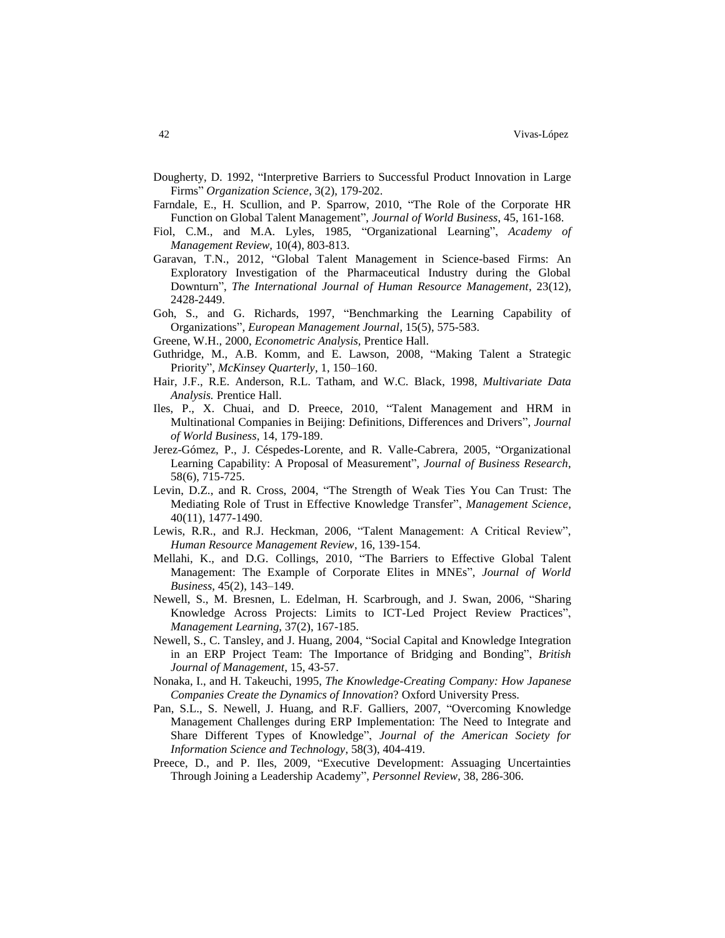- Dougherty, D. 1992, "Interpretive Barriers to Successful Product Innovation in Large Firms" *Organization Science*, 3(2), 179-202.
- Farndale, E., H. Scullion, and P. Sparrow, 2010, "The Role of the Corporate HR Function on Global Talent Management", *Journal of World Business*, 45, 161-168.
- Fiol, C.M., and M.A. Lyles, 1985, "Organizational Learning", *Academy of Management Review,* 10(4), 803-813.
- Garavan, T.N., 2012, "Global Talent Management in Science-based Firms: An Exploratory Investigation of the Pharmaceutical Industry during the Global Downturn", *The International Journal of Human Resource Management*, 23(12), 2428-2449.
- Goh, S., and G. Richards, 1997, "Benchmarking the Learning Capability of Organizations", *European Management Journal*, 15(5), 575-583.
- Greene, W.H., 2000, *Econometric Analysis,* Prentice Hall.
- Guthridge, M., A.B. Komm, and E. Lawson, 2008, "Making Talent a Strategic Priority", *McKinsey Quarterly*, 1, 150–160.
- Hair, J.F., R.E. Anderson, R.L. Tatham, and W.C. Black, 1998, *Multivariate Data Analysis.* Prentice Hall.
- Iles, P., X. Chuai, and D. Preece, 2010, "Talent Management and HRM in Multinational Companies in Beijing: Definitions, Differences and Drivers", *Journal of World Business*, 14, 179-189.
- Jerez-Gómez, P., J. Céspedes-Lorente, and R. Valle-Cabrera, 2005, "Organizational Learning Capability: A Proposal of Measurement", *Journal of Business Research*, 58(6), 715-725.
- Levin, D.Z., and R. Cross, 2004, "The Strength of Weak Ties You Can Trust: The Mediating Role of Trust in Effective Knowledge Transfer", *Management Science*, 40(11), 1477-1490.
- Lewis, R.R., and R.J. Heckman, 2006, "Talent Management: A Critical Review", *Human Resource Management Review*, 16, 139-154.
- Mellahi, K., and D.G. Collings, 2010, "The Barriers to Effective Global Talent Management: The Example of Corporate Elites in MNEs", *Journal of World Business*, 45(2), 143–149.
- [Newell,](http://proquest.umi.com/pqdweb?index=2&did=1081575431&SrchMode=1&sid=1&Fmt=2&VInst=PROD&VType=PQD&CSD=9993&RQT=590&VName=PQD&TS=1199889696&clientId=36776) S., M. Bresnen, [L. Edelman,](http://proquest.umi.com/pqdweb?index=2&did=1081575431&CSP=9945&SrchMode=1&sid=1&Fmt=2&VInst=PROD&VType=PQD&RQT=590&VName=PQD&TS=1199889696&clientId=36776) H. Scarbrough, and J. Swan, 2006, "Sharing Knowledge Across Projects: Limits to ICT-Led Project Review Practices", *[Management](http://proquest.umi.com/pqdweb?RQT=318&pmid=37519&TS=1199889696&clientId=36776&VInst=PROD&VName=PQD&VType=PQD) Learning*, 37(2), 167-185.
- Newell, S., C. Tansley, and J. Huang, 2004, "Social Capital and Knowledge Integration in an ERP Project Team: The Importance of Bridging and Bonding", *British Journal of Management*, 15, 43-57.
- Nonaka, I., and H. Takeuchi, 1995, *The Knowledge-Creating Company: How Japanese Companies Create the Dynamics of Innovation*? Oxford University Press.
- Pan, S.L., S. Newell, J. Huang, and R.F. Galliers, 2007, "Overcoming Knowledge Management Challenges during ERP Implementation: The Need to Integrate and Share Different Types of Knowledge", *Journal of the American Society for Information Science and Technology*, 58(3), 404-419.
- Preece, D., and P. Iles, 2009, "Executive Development: Assuaging Uncertainties Through Joining a Leadership Academy", *Personnel Review*, 38, 286-306.